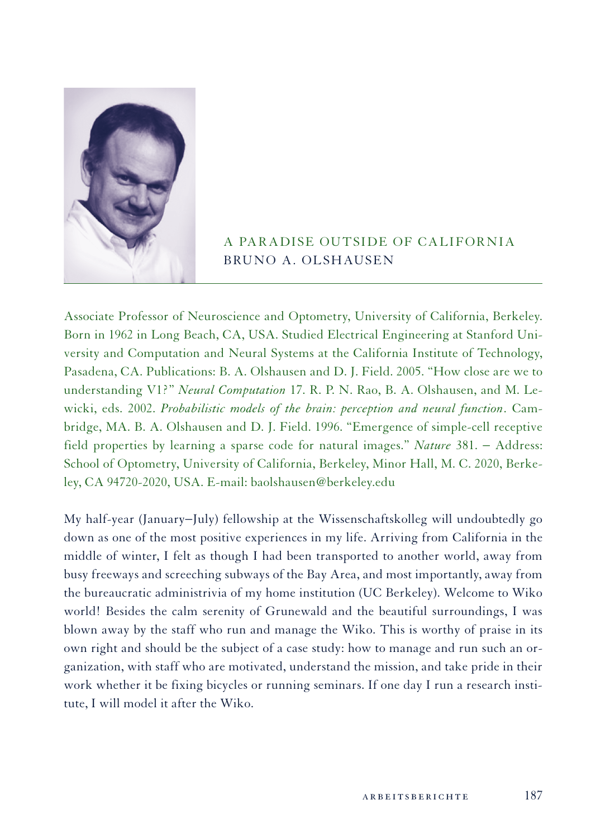

## A Paradise Outside of California Bruno A. Olshausen

Associate Professor of Neuroscience and Optometry, University of California, Berkeley. Born in 1962 in Long Beach, CA, USA. Studied Electrical Engineering at Stanford University and Computation and Neural Systems at the California Institute of Technology, Pasadena, CA. Publications: B. A. Olshausen and D. J. Field. 2005. "How close are we to understanding V1?" *Neural Computation* 17. R. P. N. Rao, B. A. Olshausen, and M. Lewicki, eds. 2002. *Probabilistic models of the brain: perception and neural function*. Cambridge, MA. B. A. Olshausen and D. J. Field. 1996. "Emergence of simple-cell receptive field properties by learning a sparse code for natural images." *Nature* 381. − Address: School of Optometry, University of California, Berkeley, Minor Hall, M. C. 2020, Berkeley, CA 94720-2020, USA. E-mail: baolshausen@berkeley.edu

My half-year (January−July) fellowship at the Wissenschaftskolleg will undoubtedly go down as one of the most positive experiences in my life. Arriving from California in the middle of winter, I felt as though I had been transported to another world, away from busy freeways and screeching subways of the Bay Area, and most importantly, away from the bureaucratic administrivia of my home institution (UC Berkeley). Welcome to Wiko world! Besides the calm serenity of Grunewald and the beautiful surroundings, I was blown away by the staff who run and manage the Wiko. This is worthy of praise in its own right and should be the subject of a case study: how to manage and run such an organization, with staff who are motivated, understand the mission, and take pride in their work whether it be fixing bicycles or running seminars. If one day I run a research institute, I will model it after the Wiko.